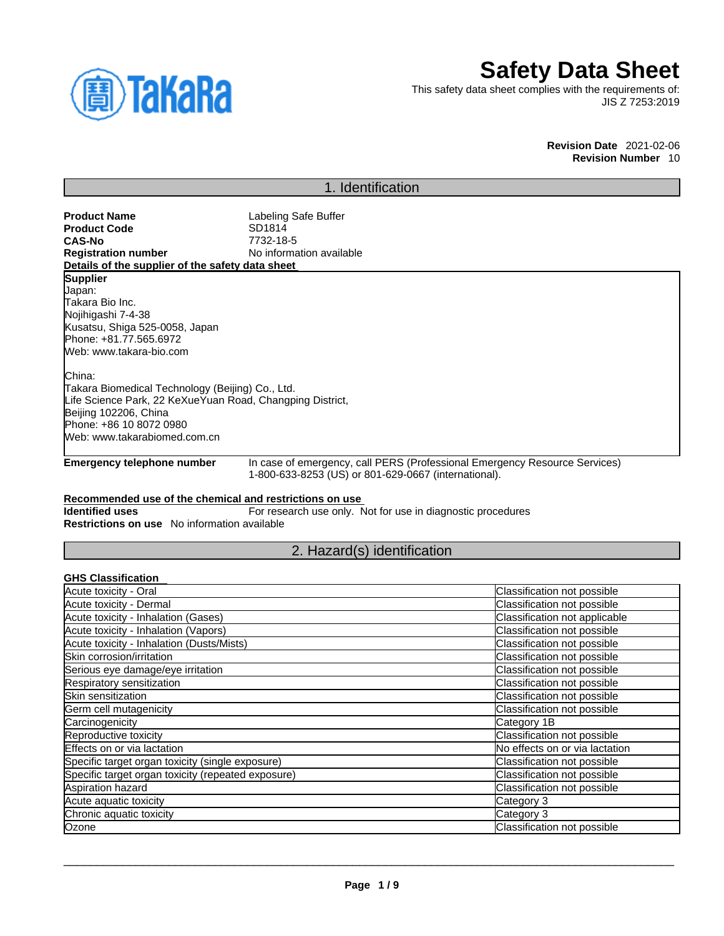

# **Safety Data Sheet**

This safety data sheet complies with the requirements of: JIS Z 7253:2019

> **Revision Date** 2021-02-06 **Revision Number** 10

### 1. Identification

**Product Name**<br> **Product Code**<br> **Product Code**<br> **COL**<br> **COL**<br> **COL**<br> **COL**<br> **COL**<br> **COL**<br> **COL**<br> **COL**<br> **COL**<br> **COL**<br> **COL**<br> **COL**<br> **COL**<br> **COL**<br> **COL Product Code**<br>CAS-No **CAS-No** 7732-18-5 **No information available Details of the supplier of the safety data sheet Emergency telephone number** In case of emergency, call PERS (Professional Emergency Resource Services) 1-800-633-8253 (US) or 801-629-0667 (international). **Recommended use of the chemical and restrictions on use Identified uses** For research use only. Not for use in diagnostic procedures **Supplier** Japan: Takara Bio Inc. Nojihigashi 7-4-38 Kusatsu, Shiga 525-0058, Japan Phone: +81.77.565.6972 Web: www.takara-bio.com China: Takara Biomedical Technology (Beijing) Co., Ltd. Life Science Park, 22 KeXueYuan Road, Changping District, Beijing 102206, China Phone: +86 10 8072 0980 Web: www.takarabiomed.com.cn

**Restrictions on use** No information available

2. Hazard(s) identification

#### **GHS Classification**

| Acute toxicity - Oral                              | Classification not possible    |
|----------------------------------------------------|--------------------------------|
| Acute toxicity - Dermal                            | Classification not possible    |
| Acute toxicity - Inhalation (Gases)                | Classification not applicable  |
| Acute toxicity - Inhalation (Vapors)               | Classification not possible    |
| Acute toxicity - Inhalation (Dusts/Mists)          | Classification not possible    |
| Skin corrosion/irritation                          | Classification not possible    |
| Serious eye damage/eye irritation                  | Classification not possible    |
| Respiratory sensitization                          | Classification not possible    |
| Skin sensitization                                 | Classification not possible    |
| Germ cell mutagenicity                             | Classification not possible    |
| Carcinogenicity                                    | Category 1B                    |
| Reproductive toxicity                              | Classification not possible    |
| Effects on or via lactation                        | No effects on or via lactation |
| Specific target organ toxicity (single exposure)   | Classification not possible    |
| Specific target organ toxicity (repeated exposure) | Classification not possible    |
| Aspiration hazard                                  | Classification not possible    |
| Acute aquatic toxicity                             | Category 3                     |
| Chronic aquatic toxicity                           | Category 3                     |
| Ozone                                              | Classification not possible    |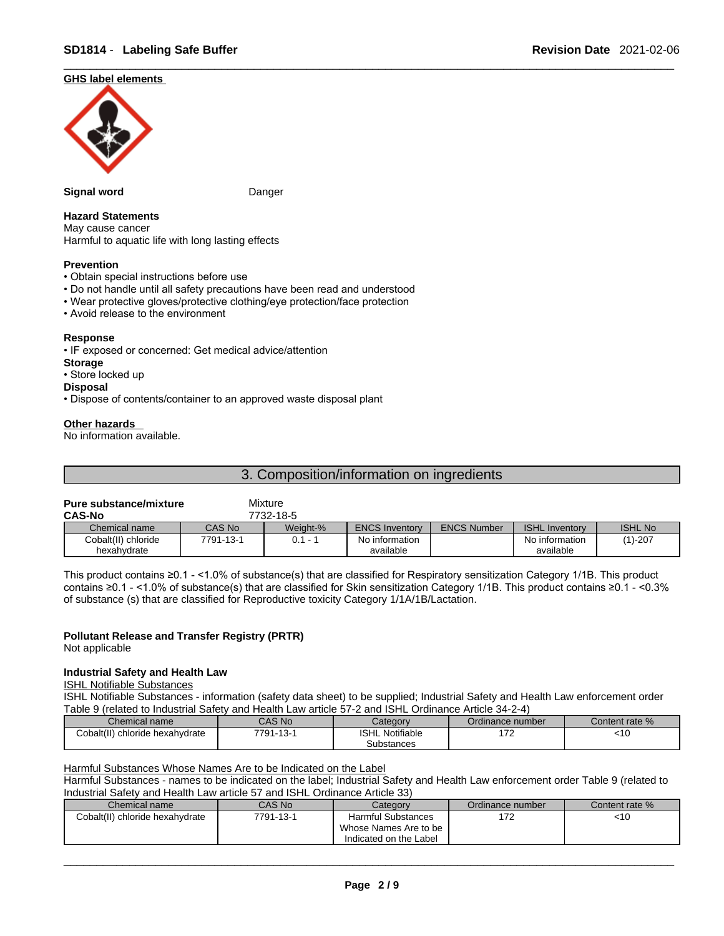#### **GHS label elements**



#### **Signal word** Danger

#### **Hazard Statements**

May cause cancer Harmful to aquatic life with long lasting effects

#### **Prevention**

- Obtain special instructions before use
- Do not handle until all safety precautions have been read and understood
- Wear protective gloves/protective clothing/eye protection/face protection
- Avoid release to the environment

#### **Response**

• IF exposed or concerned: Get medical advice/attention

#### **Storage**

- Store locked up
- **Disposal**
- Dispose of contents/container to an approved waste disposal plant

#### **Other hazards**

No information available.

|--|

### **Pure substance/mixture** Mixture

| <b>CAS-No</b>       |           | 7732-18-5 |                       |                    |                       |                |
|---------------------|-----------|-----------|-----------------------|--------------------|-----------------------|----------------|
| Chemical name       | CAS No    | Weight-%  | <b>ENCS Inventory</b> | <b>ENCS Number</b> | <b>ISHL Inventory</b> | <b>ISHL No</b> |
| Cobalt(II) chloride | 7791-13-1 |           | No information        |                    | No information        | $(1)-207$      |
| hexahvdrate         |           |           | available             |                    | available             |                |

This product contains ≥0.1 - <1.0% of substance(s) that are classified for Respiratory sensitization Category 1/1B. This product contains ≥0.1 - <1.0% of substance(s) that are classified for Skin sensitization Category 1/1B. This product contains ≥0.1 - <0.3% of substance (s) that are classified for Reproductive toxicity Category 1/1A/1B/Lactation.

#### **Pollutant Release and Transfer Registry (PRTR)**

Not applicable

#### **Industrial Safety and Health Law**

#### ISHL Notifiable Substances

ISHL Notifiable Substances - information (safety data sheet) to be supplied; Industrial Safety and Health Law enforcement order Table 9 (related to Industrial Safety and Health Law article 57-2 and ISHL Ordinance Article 34-2-4)

| Chemical name                      | CAS No    | Categorv           | Ordinance number              | Content rate % |
|------------------------------------|-----------|--------------------|-------------------------------|----------------|
| Cobalt(II)<br>chloride hexahvdrate | 7791-13-1 | Notifiable<br>ISHL | $\rightarrow$<br>. <i>. .</i> | . . ប          |
|                                    |           | Substances         |                               |                |

Harmful Substances Whose Names Are to be Indicated on the Label

Harmful Substances - names to be indicated on the label; Industrial Safety and Health Law enforcement order Table 9 (related to Industrial Safety and Health Law article 57 and ISHL Ordinance Article 33)

| Chemical name                   | <b>CAS No</b> | Category                  | Ordinance number | Content rate % |
|---------------------------------|---------------|---------------------------|------------------|----------------|
| Cobalt(II) chloride hexahydrate | 7791-13-1     | <b>Harmful Substances</b> | 170<br>17 Z      | <10            |
|                                 |               | Whose Names Are to be     |                  |                |
|                                 |               | Indicated on the Label    |                  |                |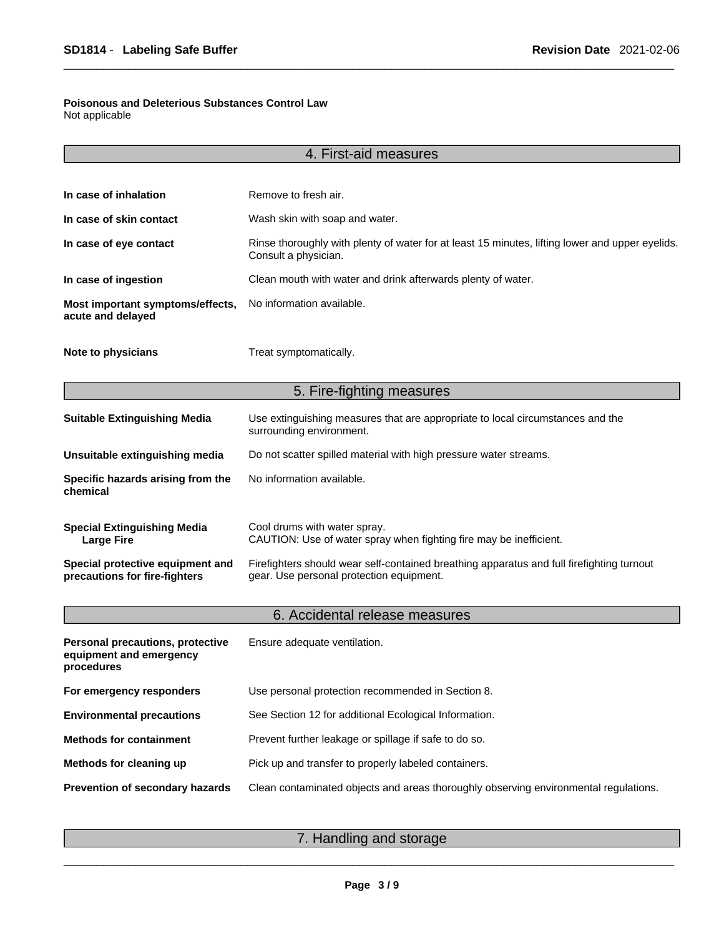### **Poisonous and Deleterious Substances Control Law**

Not applicable

|                                                                           | 4. First-aid measures                                                                                                                 |  |
|---------------------------------------------------------------------------|---------------------------------------------------------------------------------------------------------------------------------------|--|
|                                                                           |                                                                                                                                       |  |
| In case of inhalation                                                     | Remove to fresh air.                                                                                                                  |  |
| In case of skin contact                                                   | Wash skin with soap and water.                                                                                                        |  |
| In case of eye contact                                                    | Rinse thoroughly with plenty of water for at least 15 minutes, lifting lower and upper eyelids.<br>Consult a physician.               |  |
| In case of ingestion                                                      | Clean mouth with water and drink afterwards plenty of water.                                                                          |  |
| Most important symptoms/effects,<br>acute and delayed                     | No information available.                                                                                                             |  |
| Note to physicians                                                        | Treat symptomatically.                                                                                                                |  |
|                                                                           | 5. Fire-fighting measures                                                                                                             |  |
| <b>Suitable Extinguishing Media</b>                                       | Use extinguishing measures that are appropriate to local circumstances and the<br>surrounding environment.                            |  |
| Unsuitable extinguishing media                                            | Do not scatter spilled material with high pressure water streams.                                                                     |  |
| Specific hazards arising from the<br>chemical                             | No information available.                                                                                                             |  |
| <b>Special Extinguishing Media</b><br><b>Large Fire</b>                   | Cool drums with water spray.<br>CAUTION: Use of water spray when fighting fire may be inefficient.                                    |  |
| Special protective equipment and<br>precautions for fire-fighters         | Firefighters should wear self-contained breathing apparatus and full firefighting turnout<br>gear. Use personal protection equipment. |  |
|                                                                           | 6. Accidental release measures                                                                                                        |  |
| Personal precautions, protective<br>equipment and emergency<br>procedures | Ensure adequate ventilation.                                                                                                          |  |
| For emergency responders                                                  | Use personal protection recommended in Section 8.                                                                                     |  |
| <b>Environmental precautions</b>                                          | See Section 12 for additional Ecological Information.                                                                                 |  |
| <b>Methods for containment</b>                                            | Prevent further leakage or spillage if safe to do so.                                                                                 |  |
| Methods for cleaning up                                                   | Pick up and transfer to properly labeled containers.                                                                                  |  |
| Prevention of secondary hazards                                           | Clean contaminated objects and areas thoroughly observing environmental regulations.                                                  |  |
|                                                                           |                                                                                                                                       |  |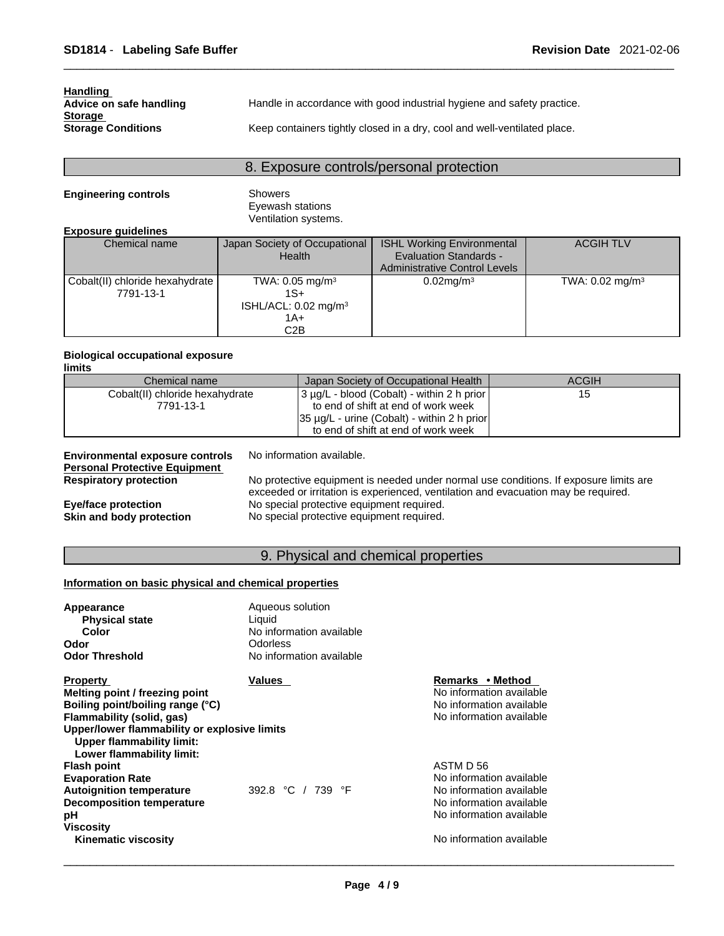| <b>Handling</b>           |                                                                          |
|---------------------------|--------------------------------------------------------------------------|
| Advice on safe handling   | Handle in accordance with good industrial hygiene and safety practice.   |
| <b>Storage</b>            |                                                                          |
| <b>Storage Conditions</b> | Keep containers tightly closed in a dry, cool and well-ventilated place. |

### 8. Exposure controls/personal protection

#### **Engineering controls** Showers

Eyewash stations Ventilation systems.

#### **Exposure guidelines**

| Chemical name                                | Japan Society of Occupational<br>Health                                                | <b>ISHL Working Environmental</b><br><b>Evaluation Standards -</b><br><b>Administrative Control Levels</b> | <b>ACGIH TLV</b>              |
|----------------------------------------------|----------------------------------------------------------------------------------------|------------------------------------------------------------------------------------------------------------|-------------------------------|
| Cobalt(II) chloride hexahydrate<br>7791-13-1 | TWA: $0.05$ mg/m <sup>3</sup><br>1S+<br>ISHL/ACL: 0.02 mg/m <sup>3</sup><br>1A+<br>C2B | $0.02$ mg/m $3$                                                                                            | TWA: $0.02$ mg/m <sup>3</sup> |

#### **Biological occupational exposure limits**

| Chemical name                   | Japan Society of Occupational Health             | ACGIH |
|---------------------------------|--------------------------------------------------|-------|
| Cobalt(II) chloride hexahydrate | 3 µg/L - blood (Cobalt) - within 2 h prior       | 15    |
| 7791-13-1                       | to end of shift at end of work week              |       |
|                                 | $35 \mu g/L$ - urine (Cobalt) - within 2 h prior |       |
|                                 | to end of shift at end of work week              |       |

| <b>Environmental exposure controls</b> | No information available.                                                             |
|----------------------------------------|---------------------------------------------------------------------------------------|
| <b>Personal Protective Equipment</b>   |                                                                                       |
| <b>Respiratory protection</b>          | No protective equipment is needed under normal use conditions. If exposure limits are |
|                                        | exceeded or irritation is experienced, ventilation and evacuation may be required.    |
| Eye/face protection                    | No special protective equipment required.                                             |
| Skin and body protection               | No special protective equipment required.                                             |

### 9. Physical and chemical properties

#### **Information on basic physical and chemical properties**

| <b>Appearance</b>                                                                                      | Aqueous solution         |                          |  |
|--------------------------------------------------------------------------------------------------------|--------------------------|--------------------------|--|
| <b>Physical state</b>                                                                                  | Liquid                   |                          |  |
| Color                                                                                                  | No information available |                          |  |
| Odor                                                                                                   | <b>Odorless</b>          |                          |  |
| <b>Odor Threshold</b>                                                                                  | No information available |                          |  |
| <b>Property</b>                                                                                        | Values                   | Remarks • Method         |  |
| Melting point / freezing point                                                                         |                          | No information available |  |
| Boiling point/boiling range (°C)                                                                       |                          | No information available |  |
| Flammability (solid, gas)                                                                              |                          | No information available |  |
| Upper/lower flammability or explosive limits<br>Upper flammability limit:<br>Lower flammability limit: |                          |                          |  |
| <b>Flash point</b>                                                                                     |                          | ASTM D 56                |  |
| <b>Evaporation Rate</b>                                                                                |                          | No information available |  |
| <b>Autoignition temperature</b>                                                                        | 392.8 °C / 739 °F        | No information available |  |
| <b>Decomposition temperature</b>                                                                       |                          | No information available |  |
| рH                                                                                                     |                          | No information available |  |
| <b>Viscosity</b>                                                                                       |                          |                          |  |
| <b>Kinematic viscosity</b>                                                                             |                          | No information available |  |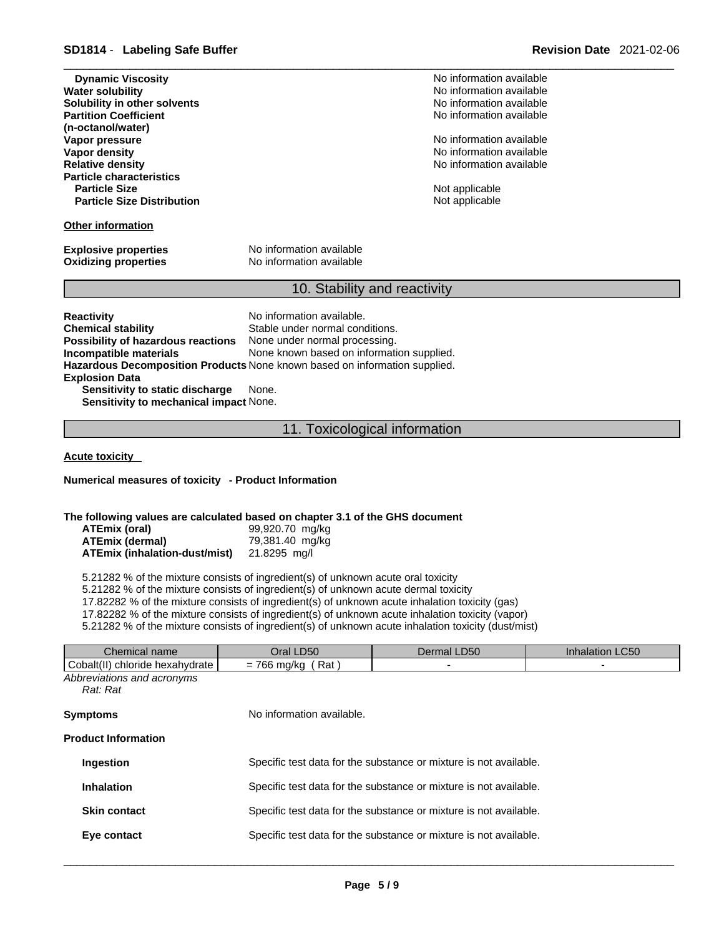| <b>Dynamic Viscosity</b>          |  |
|-----------------------------------|--|
| <b>Water solubility</b>           |  |
| Solubility in other solvents      |  |
| <b>Partition Coefficient</b>      |  |
| (n-octanol/water)                 |  |
| Vapor pressure                    |  |
| <b>Vapor density</b>              |  |
| <b>Relative density</b>           |  |
| <b>Particle characteristics</b>   |  |
| <b>Particle Size</b>              |  |
| <b>Particle Size Distribution</b> |  |
|                                   |  |

#### **Other information**

**Explosive properties** No information available

**Oxidizing properties** No information available

#### 10. Stability and reactivity

**Reactivity No information available. Chemical stability** Stable under normal conditions. **Possibility of hazardous reactions** None under normal processing.<br>Incompatible materials Mone known based on informati None known based on information supplied. **Hazardous Decomposition Products** None known based on information supplied. **Explosion Data Sensitivity to static discharge** None. **Sensitivity to mechanical impact** None.

11. Toxicological information

**Acute toxicity** 

**Numerical measures of toxicity - Product Information**

#### **The following values are calculated based on chapter 3.1 of the GHS document**

| ATEmix (oral)                 | 99,920.70 mg/kg |
|-------------------------------|-----------------|
| ATEmix (dermal)               | 79,381.40 mg/kg |
| ATEmix (inhalation-dust/mist) | 21.8295 mg/l    |

5.21282 % of the mixture consists of ingredient(s) of unknown acute oral toxicity

5.21282 % of the mixture consists of ingredient(s) of unknown acute dermal toxicity

17.82282 % of the mixture consists of ingredient(s) of unknown acute inhalation toxicity (gas)

17.82282 % of the mixture consists of ingredient(s) of unknown acute inhalation toxicity (vapor)

5.21282 % of the mixture consists of ingredient(s) of unknown acute inhalation toxicity (dust/mist)

| Oral LD50<br>$= 766$ mg/kg (Rat)                                  | Dermal LD50               | Inhalation LC50                                                                                                                        |
|-------------------------------------------------------------------|---------------------------|----------------------------------------------------------------------------------------------------------------------------------------|
|                                                                   |                           |                                                                                                                                        |
|                                                                   |                           |                                                                                                                                        |
|                                                                   |                           |                                                                                                                                        |
|                                                                   |                           |                                                                                                                                        |
|                                                                   |                           |                                                                                                                                        |
|                                                                   |                           |                                                                                                                                        |
|                                                                   |                           |                                                                                                                                        |
| Specific test data for the substance or mixture is not available. |                           |                                                                                                                                        |
|                                                                   |                           |                                                                                                                                        |
| Specific test data for the substance or mixture is not available. |                           |                                                                                                                                        |
|                                                                   |                           |                                                                                                                                        |
|                                                                   |                           |                                                                                                                                        |
|                                                                   |                           |                                                                                                                                        |
|                                                                   | No information available. | Specific test data for the substance or mixture is not available.<br>Specific test data for the substance or mixture is not available. |

**Dynamic Viscosity** No information available **No information available No information available** No information available

**No information available No information available No information available** 

**Not applicable Not applicable**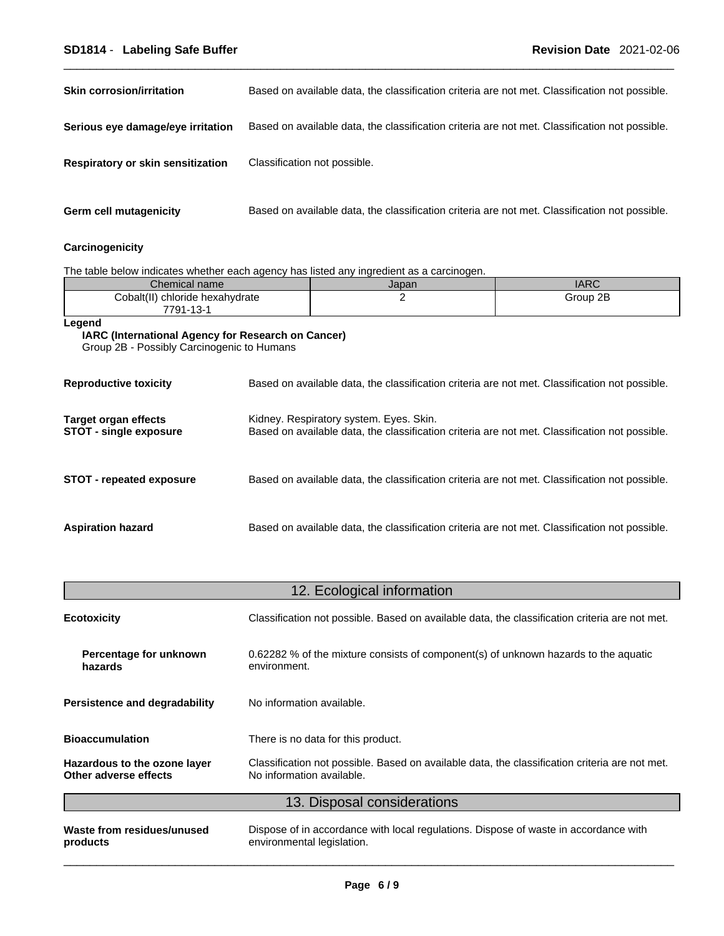### \_\_\_\_\_\_\_\_\_\_\_\_\_\_\_\_\_\_\_\_\_\_\_\_\_\_\_\_\_\_\_\_\_\_\_\_\_\_\_\_\_\_\_\_\_\_\_\_\_\_\_\_\_\_\_\_\_\_\_\_\_\_\_\_\_\_\_\_\_\_\_\_\_\_\_\_\_\_\_\_\_\_\_\_\_\_\_\_\_\_\_\_\_ **SD1814** - **Labeling Safe Buffer Revision Date** 2021-02-06

| <b>Skin corrosion/irritation</b>  | Based on available data, the classification criteria are not met. Classification not possible. |
|-----------------------------------|------------------------------------------------------------------------------------------------|
| Serious eye damage/eye irritation | Based on available data, the classification criteria are not met. Classification not possible. |
| Respiratory or skin sensitization | Classification not possible.                                                                   |
| <b>Germ cell mutagenicity</b>     | Based on available data, the classification criteria are not met. Classification not possible. |

### **Carcinogenicity**

The table below indicates whether each agency has listed any ingredient as a carcinogen.

| Chemical name                                                                                                     |                                                                                                                                           | Japan                                                                                          | <b>IARC</b> |
|-------------------------------------------------------------------------------------------------------------------|-------------------------------------------------------------------------------------------------------------------------------------------|------------------------------------------------------------------------------------------------|-------------|
| 2<br>Group 2B<br>Cobalt(II) chloride hexahydrate<br>7791-13-1                                                     |                                                                                                                                           |                                                                                                |             |
| Legend<br><b>IARC (International Agency for Research on Cancer)</b><br>Group 2B - Possibly Carcinogenic to Humans |                                                                                                                                           |                                                                                                |             |
| <b>Reproductive toxicity</b>                                                                                      | Based on available data, the classification criteria are not met. Classification not possible.                                            |                                                                                                |             |
| Target organ effects<br><b>STOT - single exposure</b>                                                             | Kidney. Respiratory system. Eyes. Skin.<br>Based on available data, the classification criteria are not met. Classification not possible. |                                                                                                |             |
| <b>STOT - repeated exposure</b>                                                                                   |                                                                                                                                           | Based on available data, the classification criteria are not met. Classification not possible. |             |
| <b>Aspiration hazard</b>                                                                                          |                                                                                                                                           | Based on available data, the classification criteria are not met. Classification not possible. |             |

## 12. Ecological information

| Maste from residuos/unused                            | Diepose of in accordance with local requisions. Diepose of wester in accordance with                                        |  |  |
|-------------------------------------------------------|-----------------------------------------------------------------------------------------------------------------------------|--|--|
|                                                       | 13. Disposal considerations                                                                                                 |  |  |
| Hazardous to the ozone layer<br>Other adverse effects | Classification not possible. Based on available data, the classification criteria are not met.<br>No information available. |  |  |
| <b>Bioaccumulation</b>                                | There is no data for this product.                                                                                          |  |  |
| Persistence and degradability                         | No information available.                                                                                                   |  |  |
| Percentage for unknown<br>hazards                     | 0.62282 % of the mixture consists of component(s) of unknown hazards to the aquatic<br>environment.                         |  |  |
| <b>Ecotoxicity</b>                                    | Classification not possible. Based on available data, the classification criteria are not met.                              |  |  |

**Waste from residues/unused products** 

Dispose of in accordance with local regulations. Dispose of waste in accordance with environmental legislation.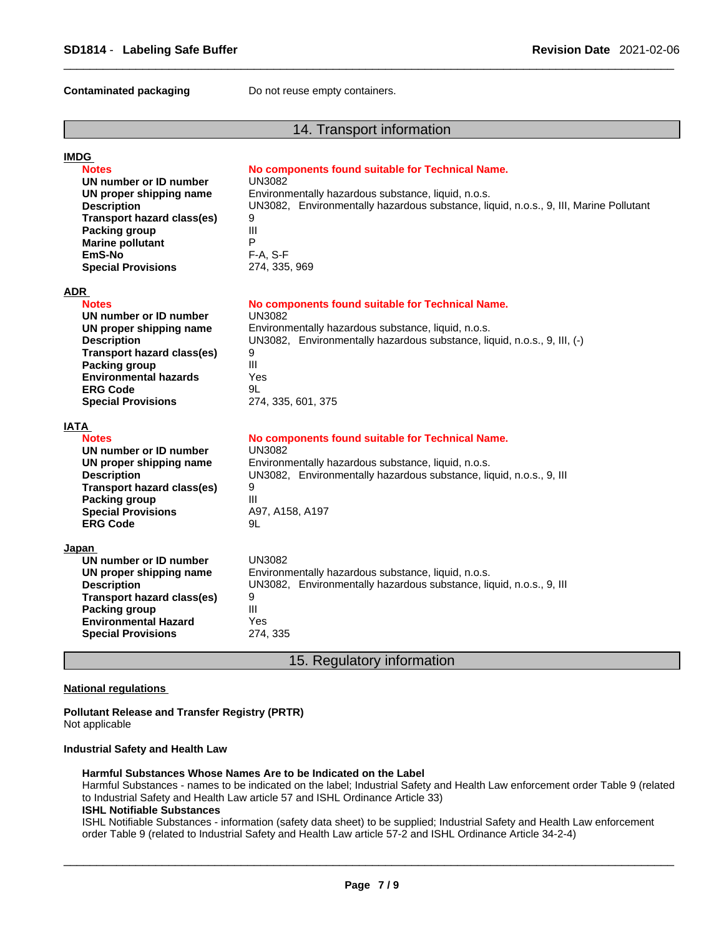**Contaminated packaging <b>Do not reuse empty containers.** 

#### 14. Transport information

| <b>IMDG</b>                       |                                                                                       |
|-----------------------------------|---------------------------------------------------------------------------------------|
| <b>Notes</b>                      | No components found suitable for Technical Name.                                      |
| UN number or ID number            | <b>UN3082</b>                                                                         |
| UN proper shipping name           | Environmentally hazardous substance, liquid, n.o.s.                                   |
| <b>Description</b>                | UN3082, Environmentally hazardous substance, liquid, n.o.s., 9, III, Marine Pollutant |
| <b>Transport hazard class(es)</b> | 9                                                                                     |
| <b>Packing group</b>              | III                                                                                   |
| <b>Marine pollutant</b>           | P                                                                                     |
| EmS-No                            | $F-A, S-F$                                                                            |
| <b>Special Provisions</b>         | 274, 335, 969                                                                         |
| ADR                               |                                                                                       |
| <b>Notes</b>                      | No components found suitable for Technical Name.                                      |
| UN number or ID number            | <b>UN3082</b>                                                                         |
| UN proper shipping name           | Environmentally hazardous substance, liquid, n.o.s.                                   |
| <b>Description</b>                | UN3082, Environmentally hazardous substance, liquid, n.o.s., 9, III, (-)              |
| <b>Transport hazard class(es)</b> | 9                                                                                     |
| <b>Packing group</b>              | III                                                                                   |
| <b>Environmental hazards</b>      | Yes                                                                                   |
| <b>ERG Code</b>                   | 9L                                                                                    |
| <b>Special Provisions</b>         | 274, 335, 601, 375                                                                    |
| IATA                              |                                                                                       |
| <b>Notes</b>                      | No components found suitable for Technical Name.                                      |
| UN number or ID number            | <b>UN3082</b>                                                                         |
| UN proper shipping name           | Environmentally hazardous substance, liquid, n.o.s.                                   |
| <b>Description</b>                | UN3082, Environmentally hazardous substance, liquid, n.o.s., 9, III                   |
| <b>Transport hazard class(es)</b> | 9                                                                                     |
| <b>Packing group</b>              | III                                                                                   |
| <b>Special Provisions</b>         | A97, A158, A197                                                                       |
| <b>ERG Code</b>                   | 9L                                                                                    |
| J <u>apan</u>                     |                                                                                       |
| UN number or ID number            | <b>UN3082</b>                                                                         |
| UN proper shipping name           | Environmentally hazardous substance, liquid, n.o.s.                                   |
| <b>Description</b>                | UN3082, Environmentally hazardous substance, liquid, n.o.s., 9, III                   |
| <b>Transport hazard class(es)</b> | 9                                                                                     |
| <b>Packing group</b>              | III                                                                                   |
| <b>Environmental Hazard</b>       | Yes                                                                                   |
| <b>Special Provisions</b>         | 274, 335                                                                              |
|                                   |                                                                                       |
|                                   |                                                                                       |

### 15. Regulatory information

#### **National regulations**

**Pollutant Release and Transfer Registry (PRTR)** Not applicable

#### **Industrial Safety and Health Law**

#### **Harmful Substances Whose Names Are to be Indicated on the Label**

Harmful Substances - names to be indicated on the label; Industrial Safety and Health Law enforcement order Table 9 (related to Industrial Safety and Health Law article 57 and ISHL Ordinance Article 33)

#### **ISHL Notifiable Substances**

ISHL Notifiable Substances - information (safety data sheet) to be supplied; Industrial Safety and Health Law enforcement order Table 9 (related to Industrial Safety and Health Law article 57-2 and ISHL Ordinance Article 34-2-4)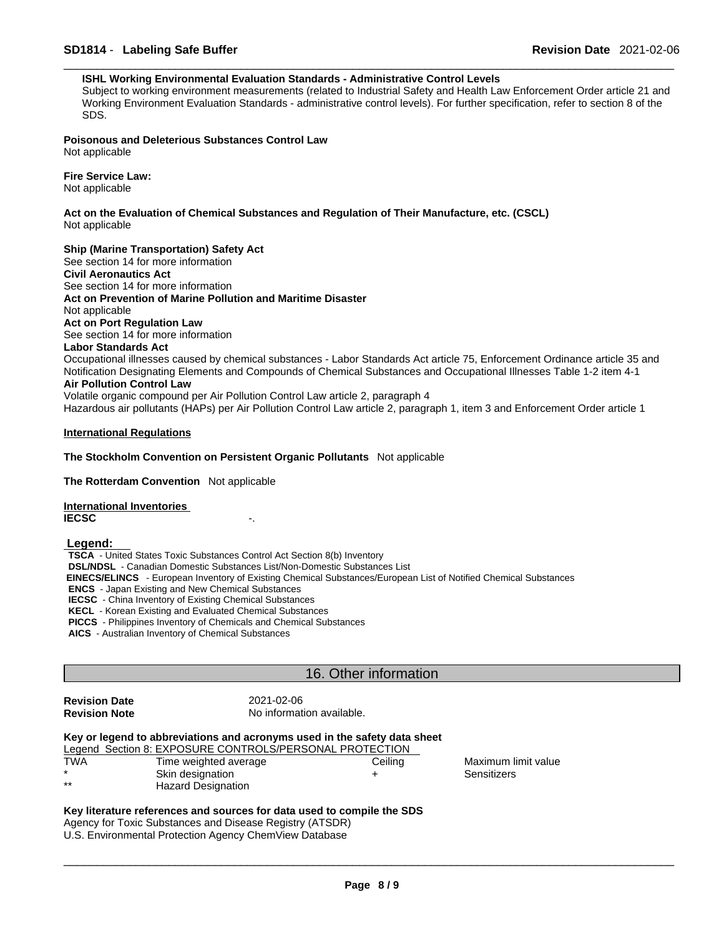#### **ISHL Working Environmental Evaluation Standards - Administrative Control Levels**

Subject to working environment measurements (related to Industrial Safety and Health Law Enforcement Order article 21 and Working Environment Evaluation Standards - administrative control levels). For further specification, refer to section 8 of the SDS.

**Poisonous and Deleterious Substances Control Law** Not applicable

**Fire Service Law:** Not applicable

**Act on the Evaluation of Chemical Substances and Regulation of Their Manufacture, etc. (CSCL)** Not applicable

**Ship (Marine Transportation) Safety Act**

See section 14 for more information **Civil Aeronautics Act** See section 14 for more information **Act on Prevention of Marine Pollution and Maritime Disaster** Not applicable **Act on Port Regulation Law** See section 14 for more information **Labor Standards Act** Occupational illnesses caused by chemical substances - Labor Standards Act article 75, Enforcement Ordinance article 35 and Notification Designating Elements and Compounds of Chemical Substances and Occupational Illnesses Table 1-2 item 4-1

#### **Air Pollution Control Law**

Volatile organic compound per Air Pollution Control Law article 2, paragraph 4 Hazardous air pollutants (HAPs) per Air Pollution Control Law article 2, paragraph 1, item 3 and Enforcement Order article 1

#### **International Regulations**

#### **The Stockholm Convention on Persistent Organic Pollutants** Not applicable

**The Rotterdam Convention** Not applicable

**International Inventories IECSC** -.

 **Legend:** 

**TSCA** - United States Toxic Substances Control Act Section 8(b) Inventory **DSL/NDSL** - Canadian Domestic Substances List/Non-Domestic Substances List  **EINECS/ELINCS** - European Inventory of Existing Chemical Substances/European List of Notified Chemical Substances **ENCS** - Japan Existing and New Chemical Substances **IECSC** - China Inventory of Existing Chemical Substances **KECL** - Korean Existing and Evaluated Chemical Substances **PICCS** - Philippines Inventory of Chemicals and Chemical Substances **AICS** - Australian Inventory of Chemical Substances

#### 16. Other information

| <b>Revision Date</b> |  |
|----------------------|--|
| <b>Revision Note</b> |  |

**Revision Date** 2021-02-06 **No information available.** 

|     | Key or legend to abbreviations and acronyms used in the safety data sheet |         |             |
|-----|---------------------------------------------------------------------------|---------|-------------|
|     | Legend Section 8: EXPOSURE CONTROLS/PERSONAL PROTECTION                   |         |             |
| TWA | Time weighted average                                                     | Ceilina | Maximum lin |
|     | Skin designation                                                          |         | Sensitizers |

**Hazard Designation** 

Maximum limit value

**Key literature references and sources for data used to compile the SDS** Agency for Toxic Substances and Disease Registry (ATSDR) U.S. Environmental Protection Agency ChemView Database